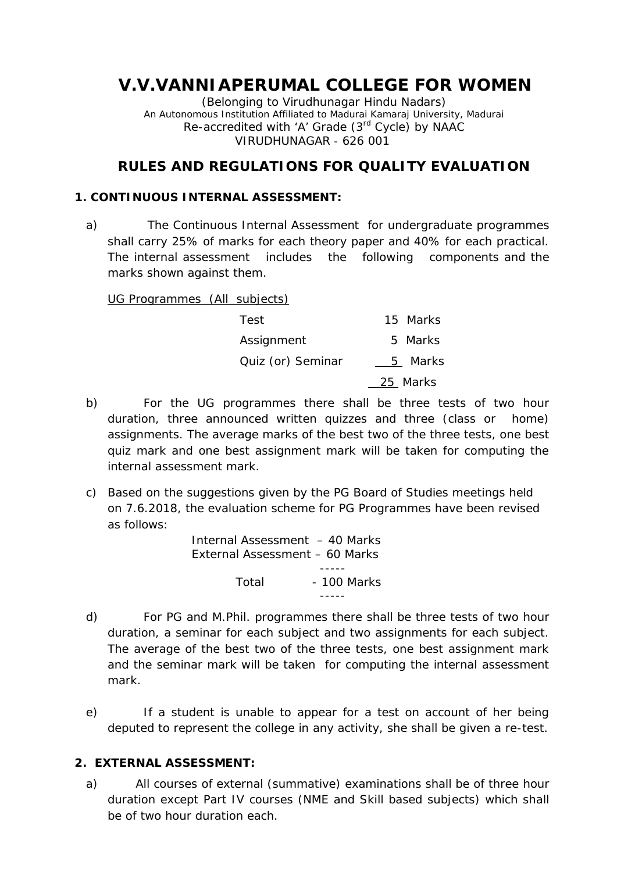# **V.V.VANNIAPERUMAL COLLEGE FOR WOMEN**

(Belonging to Virudhunagar Hindu Nadars) An Autonomous Institution Affiliated to Madurai Kamaraj University, Madurai *Re-accredited with 'A' Grade (3rd Cycle) by NAAC* VIRUDHUNAGAR - 626 001

# **RULES AND REGULATIONS FOR QUALITY EVALUATION**

# **1. CONTINUOUS INTERNAL ASSESSMENT:**

a) The Continuous Internal Assessment for undergraduate programmes shall carry 25% of marks for each theory paper and 40% for each practical. The internal assessment includes the following components and the marks shown against them.

UG Programmes (All subjects)

| Test              | 15 Marks |
|-------------------|----------|
| Assignment        | 5 Marks  |
| Quiz (or) Seminar | 5 Marks  |
|                   | 25 Marks |

- b) For the UG programmes there shall be three tests of two hour duration, three announced written quizzes and three (class or home) assignments. The average marks of the best two of the three tests, one best quiz mark and one best assignment mark will be taken for computing the internal assessment mark.
- c) Based on the suggestions given by the PG Board of Studies meetings held on 7.6.2018, the evaluation scheme for PG Programmes have been revised as follows:

Internal Assessment – 40 Marks External Assessment – 60 Marks Total - 100 Marks

- d) For PG and M.Phil. programmes there shall be three tests of two hour duration, a seminar for each subject and two assignments for each subject. The average of the best two of the three tests, one best assignment mark and the seminar mark will be taken for computing the internal assessment mark.
- e) If a student is unable to appear for a test on account of her being deputed to represent the college in any activity, she shall be given a re-test.
- **2. EXTERNAL ASSESSMENT:**
	- a) All courses of external (summative) examinations shall be of three hour duration except Part IV courses (NME and Skill based subjects) which shall be of two hour duration each.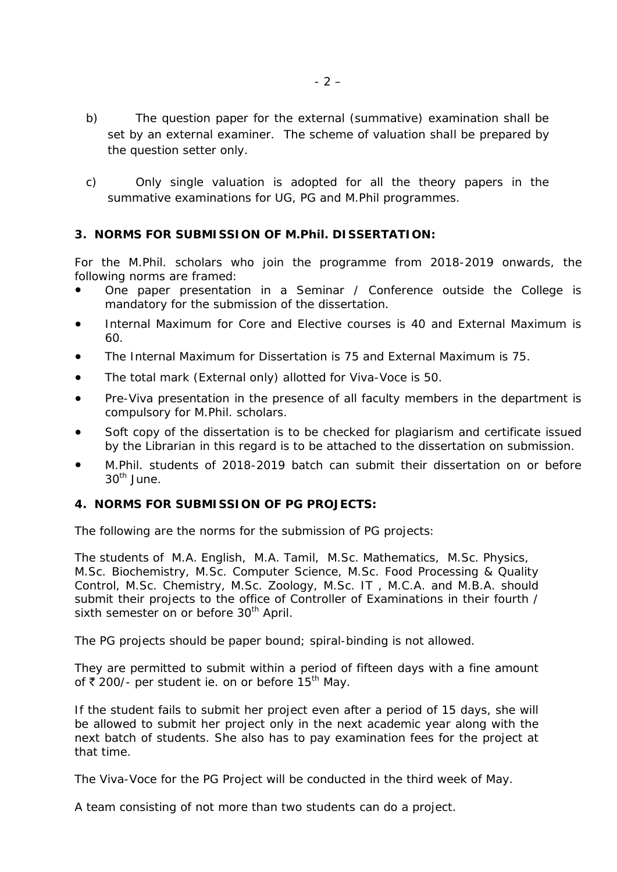- b) The question paper for the external (summative) examination shall be set by an external examiner. The scheme of valuation shall be prepared by the question setter only.
- c) Only single valuation is adopted for all the theory papers in the summative examinations for UG, PG and M.Phil programmes.
- **3. NORMS FOR SUBMISSION OF M.Phil. DISSERTATION:**

For the M.Phil. scholars who join the programme from 2018-2019 onwards, the following norms are framed:

One paper presentation in a Seminar / Conference outside the College is mandatory for the submission of the dissertation.

Internal Maximum for Core and Elective courses is 40 and External Maximum is 60.

The Internal Maximum for Dissertation is 75 and External Maximum is 75.

The total mark (External only) allotted for Viva-Voce is 50.

Pre-Viva presentation in the presence of all faculty members in the department is compulsory for M.Phil. scholars.

Soft copy of the dissertation is to be checked for plagiarism and certificate issued by the Librarian in this regard is to be attached to the dissertation on submission.

M.Phil. students of 2018-2019 batch can submit their dissertation on or before  $30<sup>th</sup>$  June.

**4. NORMS FOR SUBMISSION OF PG PROJECTS:**

The following are the norms for the submission of PG projects:

The students of M.A. English, M.A. Tamil, M.Sc. Mathematics, M.Sc. Physics, M.Sc. Biochemistry, M.Sc. Computer Science, M.Sc. Food Processing & Quality Control, M.Sc. Chemistry, M.Sc. Zoology, M.Sc. IT , M.C.A. and M.B.A. should submit their projects to the office of Controller of Examinations in their fourth / sixth semester on or before 30<sup>th</sup> April.

The PG projects should be paper bound; spiral-binding is not allowed.

They are permitted to submit within a period of fifteen days with a fine amount of  $\bar{\tau}$  200/- per student ie. on or before 15<sup>th</sup> May.

If the student fails to submit her project even after a period of 15 days, she will be allowed to submit her project only in the next academic year along with the next batch of students. She also has to pay examination fees for the project at that time.

The Viva-Voce for the PG Project will be conducted in the third week of May.

A team consisting of not more than two students can do a project.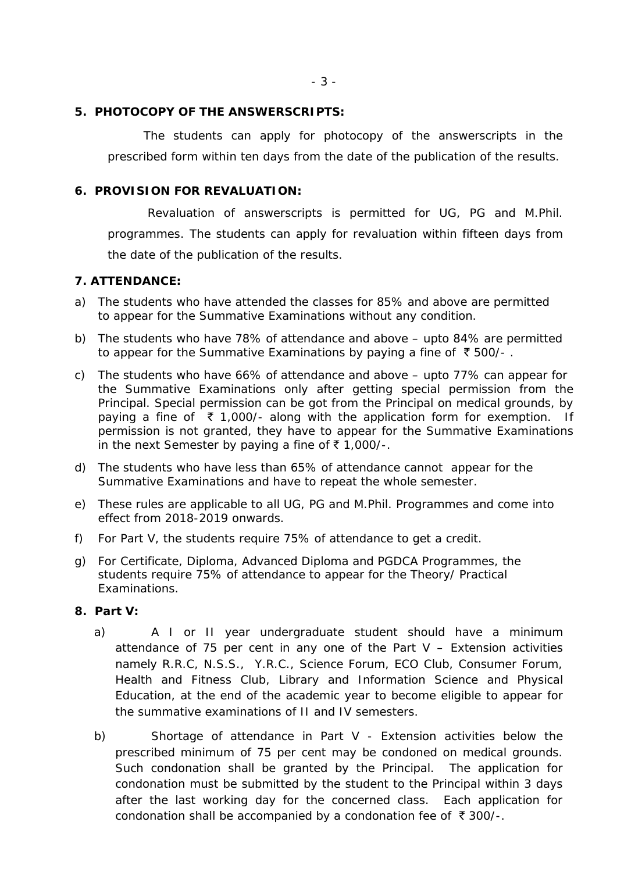**5. PHOTOCOPY OF THE ANSWERSCRIPTS:**

The students can apply for photocopy of the answerscripts in the prescribed form within ten days from the date of the publication of the results.

## **6. PROVISION FOR REVALUATION:**

Revaluation of answerscripts is permitted for UG, PG and M.Phil. programmes. The students can apply for revaluation within fifteen days from the date of the publication of the results.

#### **7. ATTENDANCE:**

- a) The students who have attended the classes for 85% and above are permitted to appear for the Summative Examinations without any condition.
- b) The students who have 78% of attendance and above upto 84% are permitted to appear for the Summative Examinations by paying a fine of  $\bar{\tau}$  500/-.
- c) The students who have 66% of attendance and above upto 77% can appear for the Summative Examinations only after getting special permission from the Principal. Special permission can be got from the Principal on medical grounds, by paying a fine of  $\bar{\tau}$  1,000/- along with the application form for exemption. If permission is not granted, they have to appear for the Summative Examinations in the next Semester by paying a fine of  $\bar{\tau}$  1,000/-.
- d) The students who have less than 65% of attendance cannot appear for the Summative Examinations and have to repeat the whole semester.
- e) These rules are applicable to all UG, PG and M.Phil. Programmes and come into effect from 2018-2019 onwards.
- f) For Part V, the students require 75% of attendance to get a credit.
- g) For Certificate, Diploma, Advanced Diploma and PGDCA Programmes, the students require 75% of attendance to appear for the Theory/ Practical Examinations.
- **8. Part V:**
	- a) A I or II year undergraduate student should have a minimum attendance of 75 per cent in any one of the Part  $V -$  Extension activities namely R.R.C, N.S.S., Y.R.C., Science Forum, ECO Club, Consumer Forum, Health and Fitness Club, Library and Information Science and Physical Education, at the end of the academic year to become eligible to appear for the summative examinations of II and IV semesters.
	- b) Shortage of attendance in Part V Extension activities below the prescribed minimum of 75 per cent may be condoned on medical grounds. Such condonation shall be granted by the Principal. The application for condonation must be submitted by the student to the Principal within 3 days after the last working day for the concerned class. Each application for condonation shall be accompanied by a condonation fee of  $\bar{\tau}$  300/-.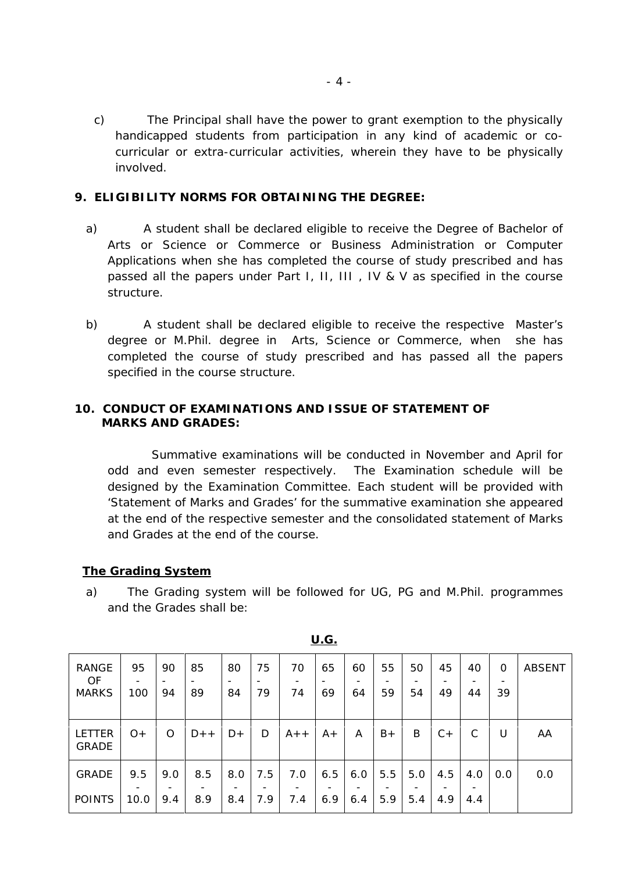- c) The Principal shall have the power to grant exemption to the physically handicapped students from participation in any kind of academic or co curricular or extra-curricular activities, wherein they have to be physically involved.
- **9. ELIGIBILITY NORMS FOR OBTAINING THE DEGREE:**
	- a) A student shall be declared eligible to receive the Degree of Bachelor of Arts or Science or Commerce or Business Administration or Computer Applications when she has completed the course of study prescribed and has passed all the papers under Part I, II, III , IV & V as specified in the course structure.
	- b) A student shall be declared eligible to receive the respective Master's degree or M.Phil. degree in Arts, Science or Commerce, when she has completed the course of study prescribed and has passed all the papers specified in the course structure.

# **10. CONDUCT OF EXAMINATIONS AND ISSUE OF STATEMENT OF MARKS AND GRADES:**

Summative examinations will be conducted in November and April for odd and even semester respectively. The Examination schedule will be designed by the Examination Committee. Each student will be provided with 'Statement of Marks and Grades' for the summative examination she appeared at the end of the respective semester and the consolidated statement of Marks and Grades at the end of the course.

## **The Grading System**

a) The Grading system will be followed for UG, PG and M.Phil. programmes and the Grades shall be:

| RANGE<br>OF.<br><b>MARKS</b> | 95<br>100 | 90<br>94 | 85<br>89 | 80<br>$\overline{\phantom{0}}$<br>84 | 75<br>-<br>79 | 70<br>74 | 65<br>69 | 60<br>64 | 55<br>59 | 50<br>54 | 45<br>49 | 40<br>44 | $\Omega$<br>39 | <b>ABSENT</b> |  |
|------------------------------|-----------|----------|----------|--------------------------------------|---------------|----------|----------|----------|----------|----------|----------|----------|----------------|---------------|--|
| LETTER<br><b>GRADE</b>       | $O+$      | Ο        | $D++$    | $D+$                                 | D             | $A++$    | $A+$     | A        | $B+$     | Β        | $C +$    | C        | U              | AA            |  |
| <b>GRADE</b>                 | 9.5       | 9.0      | 8.5      | 8.0                                  | 7.5           | 7.0      | 6.5      | 6.0      | 5.5      | 5.0      | 4.5      | 4.0      | 0.0            | 0.0           |  |
| <b>POINTS</b>                | 10.0      | 9.4      | 8.9      | 8.4                                  | 7.9           | 7.4      | 6.9      | 6.4      | 5.9      | 5.4      | 4.9      | 4.4      |                |               |  |

**U.G.**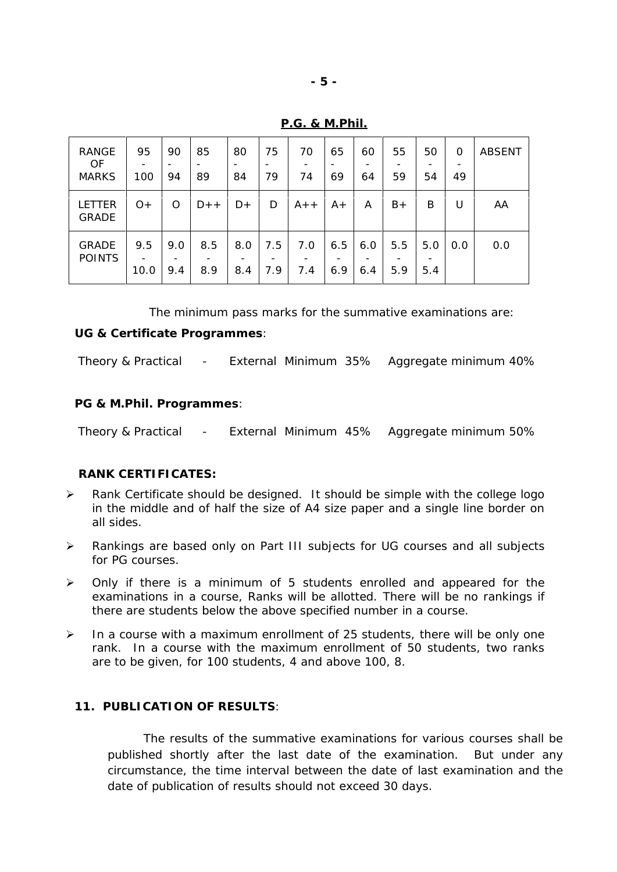| <b>RANGE</b><br>OF<br><b>MARKS</b> | 95<br>100   | 90<br>94   | 85<br>٠<br>89 | 80<br>84   | 75<br>79   | 70<br>74   | 65<br>69   | 60<br>64   | 55<br>59   | 50<br>$\overline{\phantom{0}}$<br>54 | 0<br>-<br>49 | <b>ABSENT</b> |
|------------------------------------|-------------|------------|---------------|------------|------------|------------|------------|------------|------------|--------------------------------------|--------------|---------------|
| LETTER<br><b>GRADE</b>             | $O+$        | O          | $D++$         | $D+$       | D          | $A++$      | $A+$       | A          | $B+$       | B                                    | U            | AA            |
| <b>GRADE</b><br><b>POINTS</b>      | 9.5<br>10.0 | 9.0<br>9.4 | 8.5<br>8.9    | 8.0<br>8.4 | 7.5<br>7.9 | 7.0<br>7.4 | 6.5<br>6.9 | 6.0<br>6.4 | 5.5<br>5.9 | 5.0<br>5.4                           | 0.0          | 0.0           |

**P.G. & M.Phil.**

The minimum pass marks for the summative examinations are: **UG & Certificate Programmes**:

Theory & Practical - External Minimum 35% Aggregate minimum 40%

**PG & M.Phil. Programmes**:

Theory & Practical - External Minimum 45% Aggregate minimum 50%

# **RANK CERTIFICATES:**

- $\triangleright$  Rank Certificate should be designed. It should be simple with the college logo in the middle and of half the size of A4 size paper and a single line border on all sides.
- Rankings are based only on Part III subjects for UG courses and all subjects for PG courses.
- $\triangleright$  Only if there is a minimum of 5 students enrolled and appeared for the examinations in a course, Ranks will be allotted. There will be no rankings if there are students below the above specified number in a course.
- $\triangleright$  In a course with a maximum enrollment of 25 students, there will be only one rank. In a course with the maximum enrollment of 50 students, two ranks are to be given, for 100 students, 4 and above 100, 8.

## **11. PUBLICATION OF RESULTS**:

The results of the summative examinations for various courses shall be published shortly after the last date of the examination. But under any circumstance, the time interval between the date of last examination and the date of publication of results should not exceed 30 days.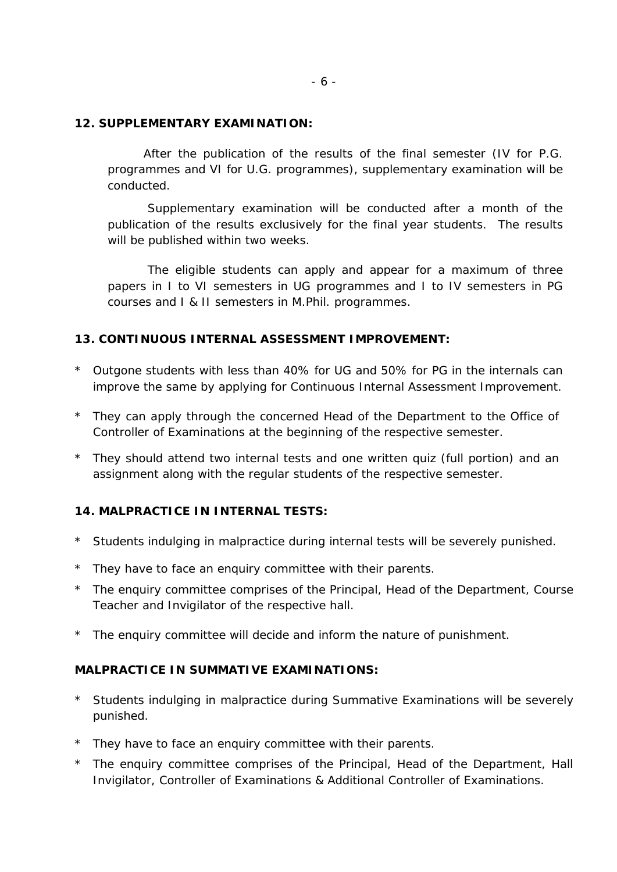#### **12. SUPPLEMENTARY EXAMINATION:**

After the publication of the results of the final semester (IV for P.G. programmes and VI for U.G. programmes), supplementary examination will be conducted.

Supplementary examination will be conducted after a month of the publication of the results exclusively for the final year students. The results will be published within two weeks.

The eligible students can apply and appear for a maximum of three papers in I to VI semesters in UG programmes and I to IV semesters in PG courses and I & II semesters in M.Phil. programmes.

**13. CONTINUOUS INTERNAL ASSESSMENT IMPROVEMENT:**

- \* Outgone students with less than 40% for UG and 50% for PG in the internals can improve the same by applying for Continuous Internal Assessment Improvement.
- \* They can apply through the concerned Head of the Department to the Office of Controller of Examinations at the beginning of the respective semester.
- \* They should attend two internal tests and one written quiz (full portion) and an assignment along with the regular students of the respective semester.

**14. MALPRACTICE IN INTERNAL TESTS:**

- \* Students indulging in malpractice during internal tests will be severely punished.
- \* They have to face an enquiry committee with their parents.
- \* The enquiry committee comprises of the Principal, Head of the Department, Course Teacher and Invigilator of the respective hall.
- \* The enquiry committee will decide and inform the nature of punishment.

**MALPRACTICE IN SUMMATIVE EXAMINATIONS:**

- \* Students indulging in malpractice during Summative Examinations will be severely punished.
- \* They have to face an enquiry committee with their parents.
- \* The enquiry committee comprises of the Principal, Head of the Department, Hall Invigilator, Controller of Examinations & Additional Controller of Examinations.